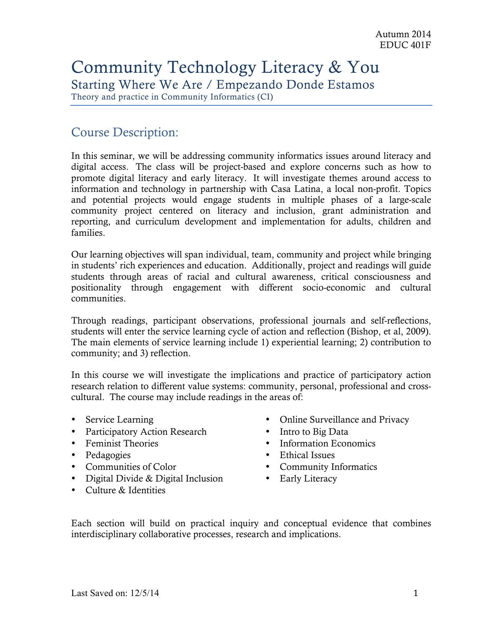# Community Technology Literacy & You Starting Where We Are / Empezando Donde Estamos

Theory and practice in Community Informatics (CI)

### Course Description:

In this seminar, we will be addressing community informatics issues around literacy and digital access. The class will be project-based and explore concerns such as how to promote digital literacy and early literacy. It will investigate themes around access to information and technology in partnership with Casa Latina, a local non-profit. Topics and potential projects would engage students in multiple phases of a large-scale community project centered on literacy and inclusion, grant administration and reporting, and curriculum development and implementation for adults, children and families.

Our learning objectives will span individual, team, community and project while bringing in students' rich experiences and education. Additionally, project and readings will guide students through areas of racial and cultural awareness, critical consciousness and positionality through engagement with different socio-economic and cultural communities.

Through readings, participant observations, professional journals and self-reflections, students will enter the service learning cycle of action and reflection (Bishop, et al, 2009). The main elements of service learning include 1) experiential learning; 2) contribution to community; and 3) reflection.

In this course we will investigate the implications and practice of participatory action research relation to different value systems: community, personal, professional and crosscultural. The course may include readings in the areas of:

- Service Learning
- Participatory Action Research
- Feminist Theories
- Pedagogies
- Communities of Color
- Digital Divide & Digital Inclusion
- Culture & Identities
- Online Surveillance and Privacy
- Intro to Big Data
- Information Economics
- Ethical Issues
- Community Informatics
- Early Literacy

Each section will build on practical inquiry and conceptual evidence that combines interdisciplinary collaborative processes, research and implications.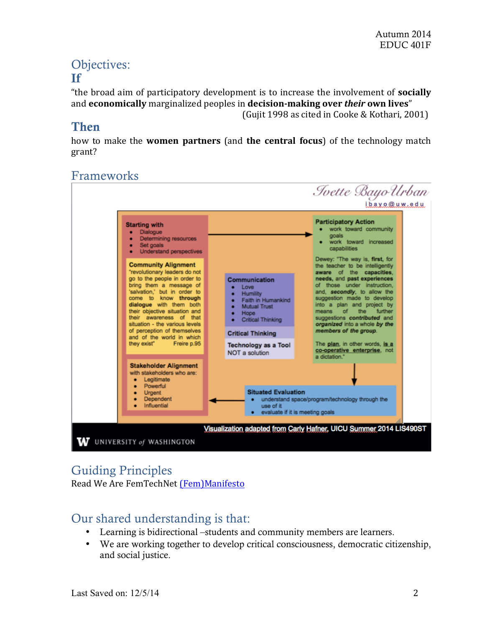# Objectives: If

"the broad aim of participatory development is to increase the involvement of **socially** and **economically** marginalized peoples in decision-making over *their* own lives"

(Gujit 1998 as cited in Cooke & Kothari, 2001)

## Then

how to make the **women partners** (and **the central focus**) of the technology match grant?

# Frameworks



### Guiding Principles

Read We Are FemTechNet (Fem)Manifesto

# Our shared understanding is that:

- Learning is bidirectional –students and community members are learners.
- We are working together to develop critical consciousness, democratic citizenship, and social justice.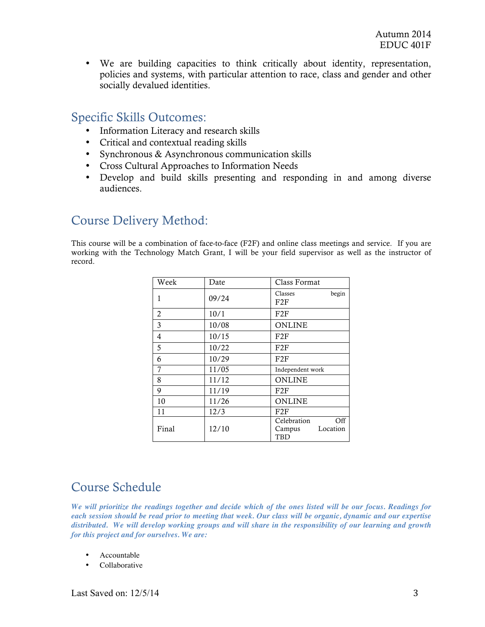• We are building capacities to think critically about identity, representation, policies and systems, with particular attention to race, class and gender and other socially devalued identities.

### Specific Skills Outcomes:

- Information Literacy and research skills
- Critical and contextual reading skills
- Synchronous & Asynchronous communication skills
- Cross Cultural Approaches to Information Needs
- Develop and build skills presenting and responding in and among diverse audiences.

### Course Delivery Method:

This course will be a combination of face-to-face (F2F) and online class meetings and service. If you are working with the Technology Match Grant, I will be your field supervisor as well as the instructor of record.

| Week  | Date  | Class Format                                    |
|-------|-------|-------------------------------------------------|
| 1     | 09/24 | begin<br>Classes<br>F2F                         |
| 2     | 10/1  | F2F                                             |
| 3     | 10/08 | <b>ONLINE</b>                                   |
| 4     | 10/15 | F2F                                             |
| 5     | 10/22 | F2F                                             |
| 6     | 10/29 | F2F                                             |
| 7     | 11/05 | Independent work                                |
| 8     | 11/12 | <b>ONLINE</b>                                   |
| 9     | 11/19 | F2F                                             |
| 10    | 11/26 | <b>ONLINE</b>                                   |
| 11    | 12/3  | F2F                                             |
| Final | 12/10 | Off<br>Celebration<br>Location<br>Campus<br>TBD |

### Course Schedule

*We will prioritize the readings together and decide which of the ones listed will be our focus. Readings for each session should be read prior to meeting that week. Our class will be organic, dynamic and our expertise distributed. We will develop working groups and will share in the responsibility of our learning and growth for this project and for ourselves. We are:*

- Accountable
- Collaborative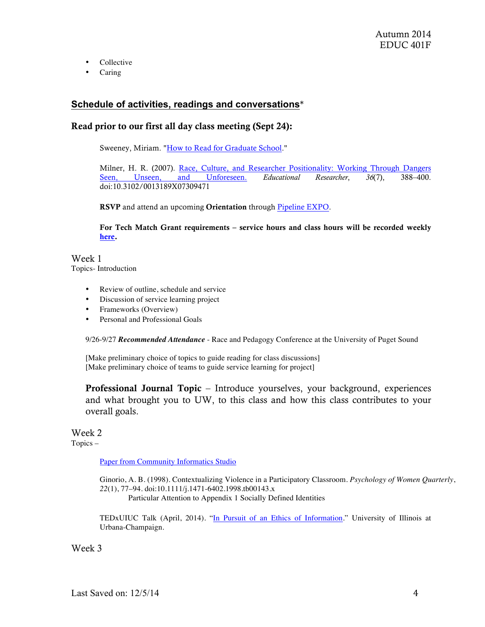- Collective
- Caring

### **Schedule of activities, readings and conversations**\*

### Read prior to our first all day class meeting (Sept 24):

Sweeney, Miriam. "How to Read for Graduate School."

Milner, H. R. (2007). Race, Culture, and Researcher Positionality: Working Through Dangers Seen, Unseen, and Unforeseen. *Educational Researcher*, *36*(7), 388–400. doi:10.3102/0013189X07309471

RSVP and attend an upcoming Orientation through Pipeline EXPO.

For Tech Match Grant requirements – service hours and class hours will be recorded weekly here.

Week 1 Topics- Introduction

- Review of outline, schedule and service
- Discussion of service learning project
- Frameworks (Overview)
- Personal and Professional Goals

9/26-9/27 *Recommended Attendance* - Race and Pedagogy Conference at the University of Puget Sound

[Make preliminary choice of topics to guide reading for class discussions] [Make preliminary choice of teams to guide service learning for project]

Professional Journal Topic – Introduce yourselves, your background, experiences and what brought you to UW, to this class and how this class contributes to your overall goals.

#### Week 2 Topics –

Paper from Community Informatics Studio

Ginorio, A. B. (1998). Contextualizing Violence in a Participatory Classroom. *Psychology of Women Quarterly*, *22*(1), 77–94. doi:10.1111/j.1471-6402.1998.tb00143.x

Particular Attention to Appendix 1 Socially Defined Identities

TEDxUIUC Talk (April, 2014). "In Pursuit of an Ethics of Information." University of Illinois at Urbana-Champaign.

### Week 3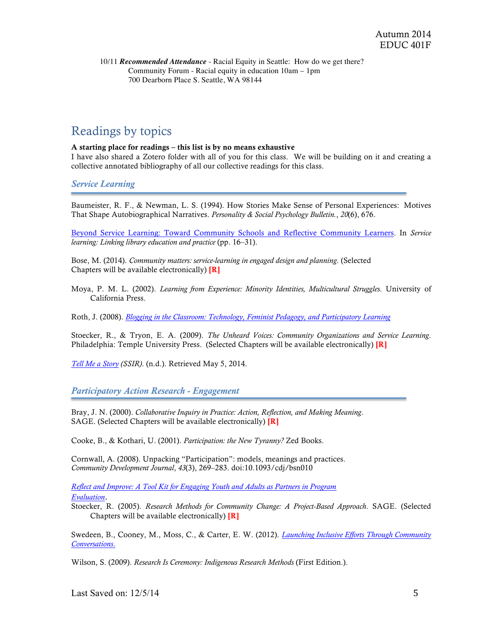10/11 *Recommended Attendance* - Racial Equity in Seattle: How do we get there? Community Forum - Racial equity in education 10am – 1pm 700 Dearborn Place S. Seattle, WA 98144

### Readings by topics

#### A starting place for readings – this list is by no means exhaustive

I have also shared a Zotero folder with all of you for this class. We will be building on it and creating a collective annotated bibliography of all our collective readings for this class.

#### *Service Learning*

Baumeister, R. F., & Newman, L. S. (1994). How Stories Make Sense of Personal Experiences: Motives That Shape Autobiographical Narratives. *Personality & Social Psychology Bulletin.*, *20*(6), 676.

Beyond Service Learning: Toward Community Schools and Reflective Community Learners. In *Service learning: Linking library education and practice* (pp. 16–31).

Bose, M. (2014). *Community matters: service-learning in engaged design and planning*. (Selected Chapters will be available electronically) [R]

Moya, P. M. L. (2002). *Learning from Experience: Minority Identities, Multicultural Struggles.* University of California Press.

Roth, J. (2008). *Blogging in the Classroom: Technology, Feminist Pedagogy, and Participatory Learning*

Stoecker, R., & Tryon, E. A. (2009). *The Unheard Voices: Community Organizations and Service Learning*. Philadelphia: Temple University Press. (Selected Chapters will be available electronically) [R]

*Tell Me a Story (SSIR)*. (n.d.). Retrieved May 5, 2014.

*Participatory Action Research - Engagement*

Bray, J. N. (2000). *Collaborative Inquiry in Practice: Action, Reflection, and Making Meaning*. SAGE. (Selected Chapters will be available electronically) [R]

Cooke, B., & Kothari, U. (2001). *Participation: the New Tyranny?* Zed Books.

Cornwall, A. (2008). Unpacking "Participation": models, meanings and practices. *Community Development Journal*, *43*(3), 269–283. doi:10.1093/cdj/bsn010

*Reflect and Improve: A Tool Kit for Engaging Youth and Adults as Partners in Program Evaluation*.

Stoecker, R. (2005). *Research Methods for Community Change: A Project-Based Approach*. SAGE. (Selected Chapters will be available electronically) [R]

Swedeen, B., Cooney, M., Moss, C., & Carter, E. W. (2012). *Launching Inclusive Efforts Through Community Conversations*.

Wilson, S. (2009). *Research Is Ceremony: Indigenous Research Methods* (First Edition.).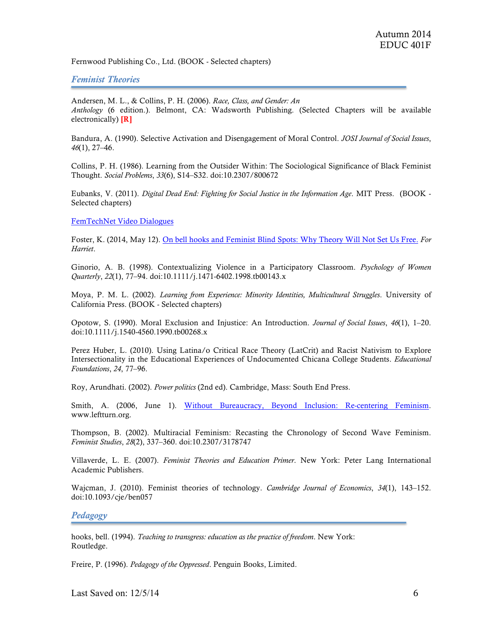Fernwood Publishing Co., Ltd. (BOOK - Selected chapters)

### *Feminist Theories*

Andersen, M. L., & Collins, P. H. (2006). *Race, Class, and Gender: An Anthology* (6 edition.). Belmont, CA: Wadsworth Publishing. (Selected Chapters will be available electronically)  $[R]$ 

Bandura, A. (1990). Selective Activation and Disengagement of Moral Control. *JOSI Journal of Social Issues*, *46*(1), 27–46.

Collins, P. H. (1986). Learning from the Outsider Within: The Sociological Significance of Black Feminist Thought. *Social Problems*, *33*(6), S14–S32. doi:10.2307/800672

Eubanks, V. (2011). *Digital Dead End: Fighting for Social Justice in the Information Age*. MIT Press. (BOOK - Selected chapters)

FemTechNet Video Dialogues

Foster, K. (2014, May 12). On bell hooks and Feminist Blind Spots: Why Theory Will Not Set Us Free. *For Harriet*.

Ginorio, A. B. (1998). Contextualizing Violence in a Participatory Classroom. *Psychology of Women Quarterly*, *22*(1), 77–94. doi:10.1111/j.1471-6402.1998.tb00143.x

Moya, P. M. L. (2002). *Learning from Experience: Minority Identities, Multicultural Struggles*. University of California Press. (BOOK - Selected chapters)

Opotow, S. (1990). Moral Exclusion and Injustice: An Introduction. *Journal of Social Issues*, *46*(1), 1–20. doi:10.1111/j.1540-4560.1990.tb00268.x

Perez Huber, L. (2010). Using Latina/o Critical Race Theory (LatCrit) and Racist Nativism to Explore Intersectionality in the Educational Experiences of Undocumented Chicana College Students. *Educational Foundations*, *24*, 77–96.

Roy, Arundhati. (2002). *Power politics* (2nd ed). Cambridge, Mass: South End Press.

Smith, A. (2006, June 1). Without Bureaucracy, Beyond Inclusion: Re-centering Feminism. www.leftturn.org.

Thompson, B. (2002). Multiracial Feminism: Recasting the Chronology of Second Wave Feminism. *Feminist Studies*, *28*(2), 337–360. doi:10.2307/3178747

Villaverde, L. E. (2007). *Feminist Theories and Education Primer*. New York: Peter Lang International Academic Publishers.

Wajcman, J. (2010). Feminist theories of technology. *Cambridge Journal of Economics*, *34*(1), 143–152. doi:10.1093/cje/ben057

#### *Pedagogy*

hooks, bell. (1994). *Teaching to transgress: education as the practice of freedom*. New York: Routledge.

Freire, P. (1996). *Pedagogy of the Oppressed*. Penguin Books, Limited.

Last Saved on:  $12/5/14$  6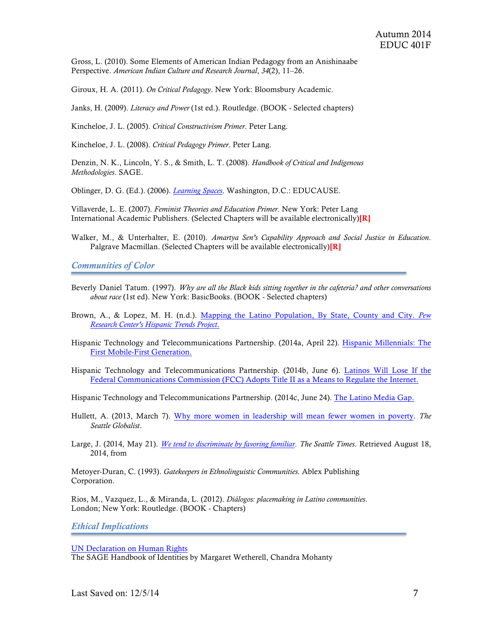Gross, L. (2010). Some Elements of American Indian Pedagogy from an Anishinaabe Perspective. *American Indian Culture and Research Journal*, *34*(2), 11–26.

Giroux, H. A. (2011). *On Critical Pedagogy*. New York: Bloomsbury Academic.

Janks, H. (2009). *Literacy and Power* (1st ed.). Routledge. (BOOK - Selected chapters)

Kincheloe, J. L. (2005). *Critical Constructivism Primer*. Peter Lang.

Kincheloe, J. L. (2008). *Critical Pedagogy Primer*. Peter Lang.

Denzin, N. K., Lincoln, Y. S., & Smith, L. T. (2008). *Handbook of Critical and Indigenous Methodologies*. SAGE.

Oblinger, D. G. (Ed.). (2006). *Learning Spaces*. Washington, D.C.: EDUCAUSE.

Villaverde, L. E. (2007). *Feminist Theories and Education Primer*. New York: Peter Lang International Academic Publishers. (Selected Chapters will be available electronically)[R]

Walker, M., & Unterhalter, E. (2010). *Amartya Sen's Capability Approach and Social Justice in Education*. Palgrave Macmillan. (Selected Chapters will be available electronically)<sup>[R]</sup>

*Communities of Color*

- Beverly Daniel Tatum. (1997). *Why are all the Black kids sitting together in the cafeteria? and other conversations about race* (1st ed). New York: BasicBooks. (BOOK - Selected chapters)
- Brown, A., & Lopez, M. H. (n.d.). Mapping the Latino Population, By State, County and City. *Pew Research Center's Hispanic Trends Project*.
- Hispanic Technology and Telecommunications Partnership. (2014a, April 22). Hispanic Millennials: The First Mobile-First Generation.
- Hispanic Technology and Telecommunications Partnership. (2014b, June 6). Latinos Will Lose If the Federal Communications Commission (FCC) Adopts Title II as a Means to Regulate the Internet.

Hispanic Technology and Telecommunications Partnership. (2014c, June 24). The Latino Media Gap.

Hullett, A. (2013, March 7). Why more women in leadership will mean fewer women in poverty. *The Seattle Globalist*.

Large, J. (2014, May 21). *We tend to discriminate by favoring familiar*. *The Seattle Times*. Retrieved August 18, 2014, from

Metoyer-Duran, C. (1993). *Gatekeepers in Ethnolinguistic Communities*. Ablex Publishing Corporation.

Rios, M., Vazquez, L., & Miranda, L. (2012). *Diálogos: placemaking in Latino communities*. London; New York: Routledge. (BOOK - Chapters)

*Ethical Implications*

UN Declaration on Human Rights

The SAGE Handbook of Identities by Margaret Wetherell, Chandra Mohanty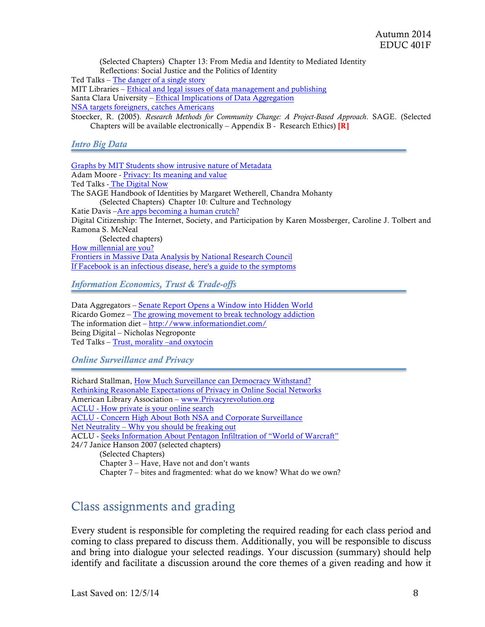(Selected Chapters) Chapter 13: From Media and Identity to Mediated Identity Reflections: Social Justice and the Politics of Identity Ted Talks – The danger of a single story MIT Libraries – Ethical and legal issues of data management and publishing Santa Clara University – Ethical Implications of Data Aggregation NSA targets foreigners, catches Americans Stoecker, R. (2005). *Research Methods for Community Change: A Project-Based Approach*. SAGE. (Selected Chapters will be available electronically – Appendix B - Research Ethics)  $\begin{bmatrix} R \end{bmatrix}$ *Intro Big Data* Graphs by MIT Students show intrusive nature of Metadata Adam Moore - Privacy: Its meaning and value Ted Talks - The Digital Now The SAGE Handbook of Identities by Margaret Wetherell, Chandra Mohanty (Selected Chapters) Chapter 10: Culture and Technology Katie Davis –Are apps becoming a human crutch? Digital Citizenship: The Internet, Society, and Participation by Karen Mossberger, Caroline J. Tolbert and Ramona S. McNeal (Selected chapters) How millennial are you? Frontiers in Massive Data Analysis by National Research Council If Facebook is an infectious disease, here's a guide to the symptoms

*Information Economics, Trust & Trade-offs*

Data Aggregators – Senate Report Opens a Window into Hidden World Ricardo Gomez – The growing movement to break technology addiction The information diet – http://www.informationdiet.com/ Being Digital – Nicholas Negroponte Ted Talks – Trust, morality –and oxytocin

*Online Surveillance and Privacy*

Richard Stallman, How Much Surveillance can Democracy Withstand? Rethinking Reasonable Expectations of Privacy in Online Social Networks American Library Association – www.Privacyrevolution.org ACLU - How private is your online search ACLU - Concern High About Both NSA and Corporate Surveillance Net Neutrality – Why you should be freaking out ACLU - Seeks Information About Pentagon Infiltration of "World of Warcraft" 24/7 Janice Hanson 2007 (selected chapters) (Selected Chapters) Chapter 3 – Have, Have not and don't wants Chapter 7 – bites and fragmented: what do we know? What do we own?

### Class assignments and grading

Every student is responsible for completing the required reading for each class period and coming to class prepared to discuss them. Additionally, you will be responsible to discuss and bring into dialogue your selected readings. Your discussion (summary) should help identify and facilitate a discussion around the core themes of a given reading and how it